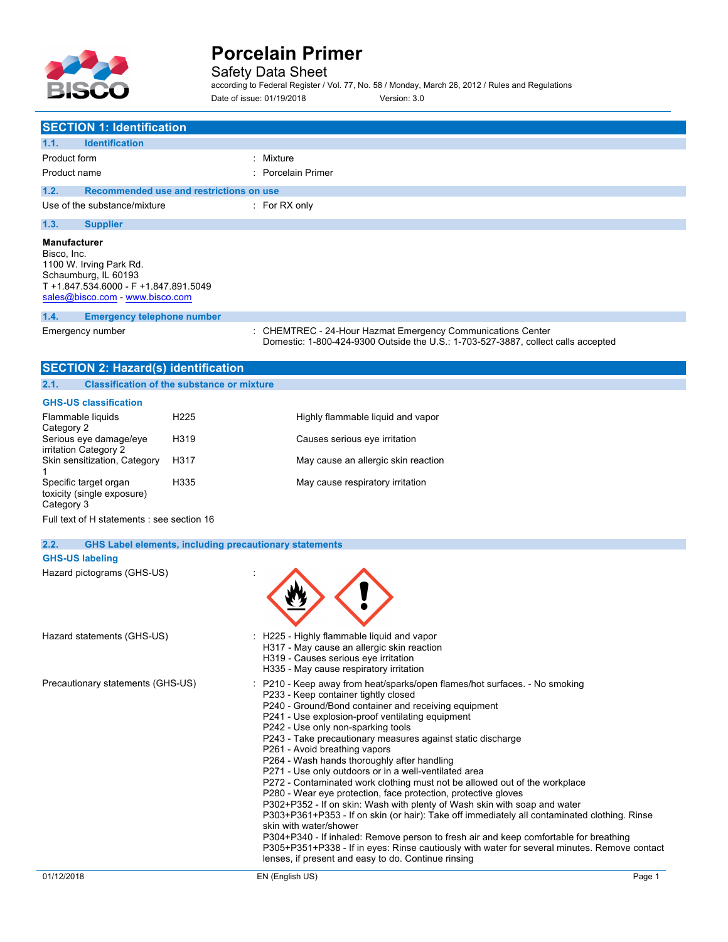

Safety Data Sheet

according to Federal Register / Vol. 77, No. 58 / Monday, March 26, 2012 / Rules and Regulations Date of issue: 01/19/2018 Version: 3.0

| <b>SECTION 1: Identification</b>                                                                                                                                  |                                                                                                                                                                                                                                                                                                                                                                                                                                                                                                                                                                                                                                                                                                                                                                                                                                                                                                                                                                                                                                                                                     |
|-------------------------------------------------------------------------------------------------------------------------------------------------------------------|-------------------------------------------------------------------------------------------------------------------------------------------------------------------------------------------------------------------------------------------------------------------------------------------------------------------------------------------------------------------------------------------------------------------------------------------------------------------------------------------------------------------------------------------------------------------------------------------------------------------------------------------------------------------------------------------------------------------------------------------------------------------------------------------------------------------------------------------------------------------------------------------------------------------------------------------------------------------------------------------------------------------------------------------------------------------------------------|
| <b>Identification</b><br>1.1.                                                                                                                                     |                                                                                                                                                                                                                                                                                                                                                                                                                                                                                                                                                                                                                                                                                                                                                                                                                                                                                                                                                                                                                                                                                     |
| Product form                                                                                                                                                      | : Mixture                                                                                                                                                                                                                                                                                                                                                                                                                                                                                                                                                                                                                                                                                                                                                                                                                                                                                                                                                                                                                                                                           |
| Product name                                                                                                                                                      | <b>Porcelain Primer</b>                                                                                                                                                                                                                                                                                                                                                                                                                                                                                                                                                                                                                                                                                                                                                                                                                                                                                                                                                                                                                                                             |
| 1.2.                                                                                                                                                              | Recommended use and restrictions on use                                                                                                                                                                                                                                                                                                                                                                                                                                                                                                                                                                                                                                                                                                                                                                                                                                                                                                                                                                                                                                             |
| Use of the substance/mixture                                                                                                                                      | : For RX only                                                                                                                                                                                                                                                                                                                                                                                                                                                                                                                                                                                                                                                                                                                                                                                                                                                                                                                                                                                                                                                                       |
| 1.3.<br><b>Supplier</b>                                                                                                                                           |                                                                                                                                                                                                                                                                                                                                                                                                                                                                                                                                                                                                                                                                                                                                                                                                                                                                                                                                                                                                                                                                                     |
| <b>Manufacturer</b><br>Bisco, Inc.<br>1100 W. Irving Park Rd.<br>Schaumburg, IL 60193<br>T +1.847.534.6000 - F +1.847.891.5049<br>sales@bisco.com - www.bisco.com |                                                                                                                                                                                                                                                                                                                                                                                                                                                                                                                                                                                                                                                                                                                                                                                                                                                                                                                                                                                                                                                                                     |
| 1.4.<br><b>Emergency telephone number</b>                                                                                                                         |                                                                                                                                                                                                                                                                                                                                                                                                                                                                                                                                                                                                                                                                                                                                                                                                                                                                                                                                                                                                                                                                                     |
| Emergency number                                                                                                                                                  | : CHEMTREC - 24-Hour Hazmat Emergency Communications Center<br>Domestic: 1-800-424-9300 Outside the U.S.: 1-703-527-3887, collect calls accepted                                                                                                                                                                                                                                                                                                                                                                                                                                                                                                                                                                                                                                                                                                                                                                                                                                                                                                                                    |
| <b>SECTION 2: Hazard(s) identification</b>                                                                                                                        |                                                                                                                                                                                                                                                                                                                                                                                                                                                                                                                                                                                                                                                                                                                                                                                                                                                                                                                                                                                                                                                                                     |
| 2.1.<br><b>Classification of the substance or mixture</b>                                                                                                         |                                                                                                                                                                                                                                                                                                                                                                                                                                                                                                                                                                                                                                                                                                                                                                                                                                                                                                                                                                                                                                                                                     |
| <b>GHS-US classification</b>                                                                                                                                      |                                                                                                                                                                                                                                                                                                                                                                                                                                                                                                                                                                                                                                                                                                                                                                                                                                                                                                                                                                                                                                                                                     |
| Flammable liquids<br>Category 2                                                                                                                                   | H <sub>225</sub><br>Highly flammable liquid and vapor                                                                                                                                                                                                                                                                                                                                                                                                                                                                                                                                                                                                                                                                                                                                                                                                                                                                                                                                                                                                                               |
| Serious eye damage/eye                                                                                                                                            | H319<br>Causes serious eye irritation                                                                                                                                                                                                                                                                                                                                                                                                                                                                                                                                                                                                                                                                                                                                                                                                                                                                                                                                                                                                                                               |
| irritation Category 2<br>Skin sensitization, Category                                                                                                             | H317<br>May cause an allergic skin reaction                                                                                                                                                                                                                                                                                                                                                                                                                                                                                                                                                                                                                                                                                                                                                                                                                                                                                                                                                                                                                                         |
| Specific target organ<br>toxicity (single exposure)<br>Category 3                                                                                                 | H335<br>May cause respiratory irritation                                                                                                                                                                                                                                                                                                                                                                                                                                                                                                                                                                                                                                                                                                                                                                                                                                                                                                                                                                                                                                            |
| Full text of H statements : see section 16                                                                                                                        |                                                                                                                                                                                                                                                                                                                                                                                                                                                                                                                                                                                                                                                                                                                                                                                                                                                                                                                                                                                                                                                                                     |
| 2.2.                                                                                                                                                              | <b>GHS Label elements, including precautionary statements</b>                                                                                                                                                                                                                                                                                                                                                                                                                                                                                                                                                                                                                                                                                                                                                                                                                                                                                                                                                                                                                       |
| <b>GHS-US labeling</b>                                                                                                                                            |                                                                                                                                                                                                                                                                                                                                                                                                                                                                                                                                                                                                                                                                                                                                                                                                                                                                                                                                                                                                                                                                                     |
| Hazard pictograms (GHS-US)                                                                                                                                        |                                                                                                                                                                                                                                                                                                                                                                                                                                                                                                                                                                                                                                                                                                                                                                                                                                                                                                                                                                                                                                                                                     |
| Hazard statements (GHS-US)                                                                                                                                        | : H225 - Highly flammable liguid and vapor<br>H317 - May cause an allergic skin reaction<br>H319 - Causes serious eye irritation<br>H335 - May cause respiratory irritation                                                                                                                                                                                                                                                                                                                                                                                                                                                                                                                                                                                                                                                                                                                                                                                                                                                                                                         |
| Precautionary statements (GHS-US)                                                                                                                                 | : P210 - Keep away from heat/sparks/open flames/hot surfaces. - No smoking<br>P233 - Keep container tightly closed<br>P240 - Ground/Bond container and receiving equipment<br>P241 - Use explosion-proof ventilating equipment<br>P242 - Use only non-sparking tools<br>P243 - Take precautionary measures against static discharge<br>P261 - Avoid breathing vapors<br>P264 - Wash hands thoroughly after handling<br>P271 - Use only outdoors or in a well-ventilated area<br>P272 - Contaminated work clothing must not be allowed out of the workplace<br>P280 - Wear eye protection, face protection, protective gloves<br>P302+P352 - If on skin: Wash with plenty of Wash skin with soap and water<br>P303+P361+P353 - If on skin (or hair): Take off immediately all contaminated clothing. Rinse<br>skin with water/shower<br>P304+P340 - If inhaled: Remove person to fresh air and keep comfortable for breathing<br>P305+P351+P338 - If in eyes: Rinse cautiously with water for several minutes. Remove contact<br>lenses, if present and easy to do. Continue rinsing |
| 01/12/2018                                                                                                                                                        | EN (English US)<br>Page 1                                                                                                                                                                                                                                                                                                                                                                                                                                                                                                                                                                                                                                                                                                                                                                                                                                                                                                                                                                                                                                                           |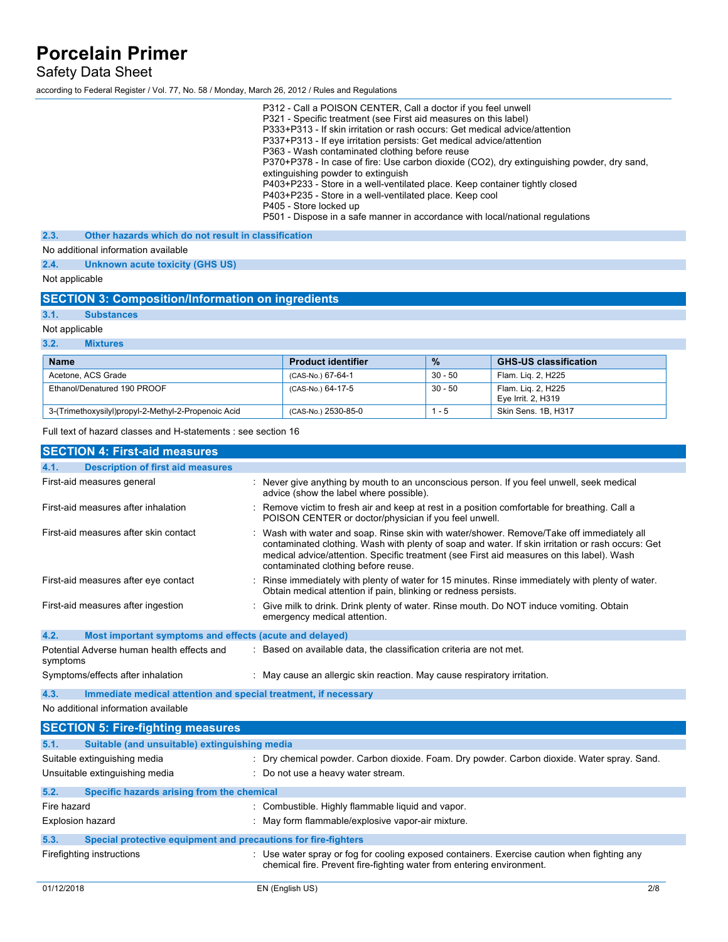Safety Data Sheet

according to Federal Register / Vol. 77, No. 58 / Monday, March 26, 2012 / Rules and Regulations

|      | P312 - Call a POISON CENTER, Call a doctor if you feel unwell                              |
|------|--------------------------------------------------------------------------------------------|
|      | P321 - Specific treatment (see First aid measures on this label)                           |
|      | P333+P313 - If skin irritation or rash occurs: Get medical advice/attention                |
|      | P337+P313 - If eye irritation persists: Get medical advice/attention                       |
|      | P363 - Wash contaminated clothing before reuse                                             |
|      | P370+P378 - In case of fire: Use carbon dioxide (CO2), dry extinguishing powder, dry sand, |
|      | extinguishing powder to extinguish                                                         |
|      | P403+P233 - Store in a well-ventilated place. Keep container tightly closed                |
|      | P403+P235 - Store in a well-ventilated place. Keep cool                                    |
|      | P405 - Store locked up                                                                     |
|      | P501 - Dispose in a safe manner in accordance with local/national regulations              |
| 2.3. | Other hazards which do not result in classification                                        |

No additional information available

**2.4. Unknown acute toxicity (GHS US)**

Not applicable

### **SECTION 3: Composition/Information on ingredients**

**3.1. Substances**

Not applicable

**3.2. Mixtures**

| <b>Name</b>                                         | <b>Product identifier</b> | $\frac{9}{6}$ | <b>GHS-US classification</b>             |
|-----------------------------------------------------|---------------------------|---------------|------------------------------------------|
| Acetone, ACS Grade                                  | (CAS-No.) 67-64-1         | $30 - 50$     | Flam. Lig. 2, H225                       |
| Ethanol/Denatured 190 PROOF                         | (CAS-No.) 64-17-5         | $30 - 50$     | Flam. Lig. 2, H225<br>Eye Irrit. 2, H319 |
| 3-(Trimethoxysilyl)propyl-2-Methyl-2-Propenoic Acid | (CAS-No.) 2530-85-0       | $1 - 5$       | Skin Sens. 1B, H317                      |

Full text of hazard classes and H-statements : see section 16

| <b>SECTION 4: First-aid measures</b>                                    |                                                                                                                                                                                                                                                                                                                                    |
|-------------------------------------------------------------------------|------------------------------------------------------------------------------------------------------------------------------------------------------------------------------------------------------------------------------------------------------------------------------------------------------------------------------------|
| <b>Description of first aid measures</b><br>4.1.                        |                                                                                                                                                                                                                                                                                                                                    |
| First-aid measures general                                              | : Never give anything by mouth to an unconscious person. If you feel unwell, seek medical<br>advice (show the label where possible).                                                                                                                                                                                               |
| First-aid measures after inhalation                                     | : Remove victim to fresh air and keep at rest in a position comfortable for breathing. Call a<br>POISON CENTER or doctor/physician if you feel unwell.                                                                                                                                                                             |
| First-aid measures after skin contact                                   | : Wash with water and soap. Rinse skin with water/shower. Remove/Take off immediately all<br>contaminated clothing. Wash with plenty of soap and water. If skin irritation or rash occurs: Get<br>medical advice/attention. Specific treatment (see First aid measures on this label). Wash<br>contaminated clothing before reuse. |
| First-aid measures after eye contact                                    | : Rinse immediately with plenty of water for 15 minutes. Rinse immediately with plenty of water.<br>Obtain medical attention if pain, blinking or redness persists.                                                                                                                                                                |
| First-aid measures after ingestion                                      | : Give milk to drink. Drink plenty of water. Rinse mouth. Do NOT induce vomiting. Obtain<br>emergency medical attention.                                                                                                                                                                                                           |
| 4.2.<br>Most important symptoms and effects (acute and delayed)         |                                                                                                                                                                                                                                                                                                                                    |
| Potential Adverse human health effects and<br>symptoms                  | : Based on available data, the classification criteria are not met.                                                                                                                                                                                                                                                                |
| Symptoms/effects after inhalation                                       | : May cause an allergic skin reaction. May cause respiratory irritation.                                                                                                                                                                                                                                                           |
| 4.3.<br>Immediate medical attention and special treatment, if necessary |                                                                                                                                                                                                                                                                                                                                    |

No additional information available

|                  | <b>SECTION 5: Fire-fighting measures</b>                       |                                                                                                                                                                      |
|------------------|----------------------------------------------------------------|----------------------------------------------------------------------------------------------------------------------------------------------------------------------|
| 5.1.             | Suitable (and unsuitable) extinguishing media                  |                                                                                                                                                                      |
|                  | Suitable extinguishing media                                   | : Dry chemical powder. Carbon dioxide. Foam. Dry powder. Carbon dioxide. Water spray. Sand.                                                                          |
|                  | Unsuitable extinguishing media                                 | : Do not use a heavy water stream.                                                                                                                                   |
| 5.2.             | Specific hazards arising from the chemical                     |                                                                                                                                                                      |
| Fire hazard      |                                                                | : Combustible. Highly flammable liquid and vapor.                                                                                                                    |
| Explosion hazard |                                                                | : May form flammable/explosive vapor-air mixture.                                                                                                                    |
| 5.3.             | Special protective equipment and precautions for fire-fighters |                                                                                                                                                                      |
|                  | Firefighting instructions                                      | : Use water spray or fog for cooling exposed containers. Exercise caution when fighting any<br>chemical fire. Prevent fire-fighting water from entering environment. |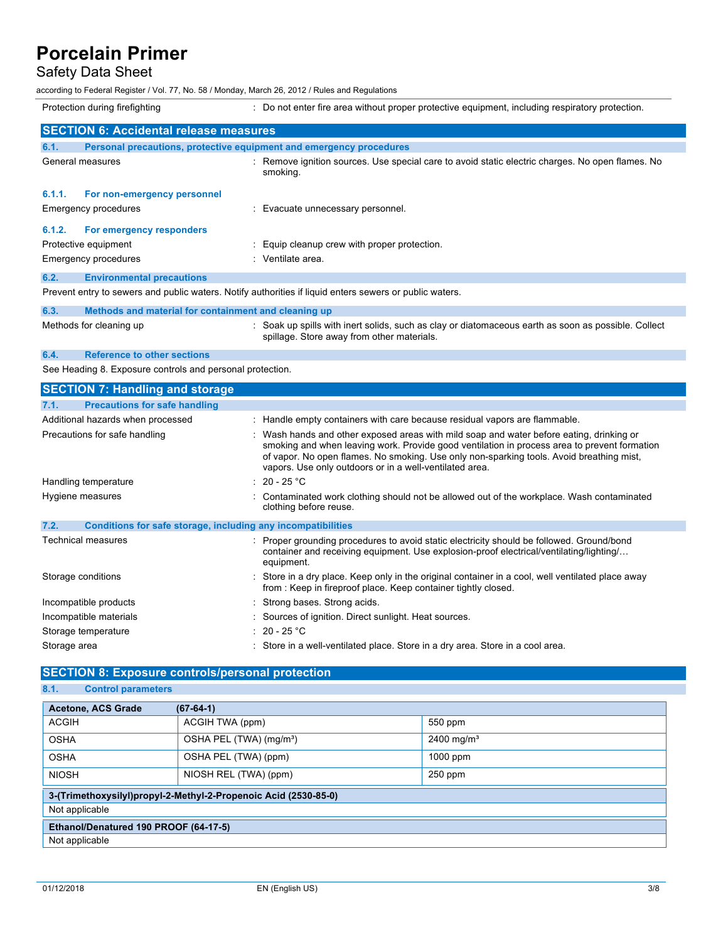## Safety Data Sheet

according to Federal Register / Vol. 77, No. 58 / Monday, March 26, 2012 / Rules and Regulations

|                                                           | Protection during firefighting                                      | : Do not enter fire area without proper protective equipment, including respiratory protection.                                                   |
|-----------------------------------------------------------|---------------------------------------------------------------------|---------------------------------------------------------------------------------------------------------------------------------------------------|
|                                                           | <b>SECTION 6: Accidental release measures</b>                       |                                                                                                                                                   |
| 6.1.                                                      | Personal precautions, protective equipment and emergency procedures |                                                                                                                                                   |
|                                                           | General measures                                                    | : Remove ignition sources. Use special care to avoid static electric charges. No open flames. No<br>smoking.                                      |
| 6.1.1.                                                    | For non-emergency personnel                                         |                                                                                                                                                   |
|                                                           | Emergency procedures                                                | : Evacuate unnecessary personnel.                                                                                                                 |
| 6.1.2.                                                    | For emergency responders                                            |                                                                                                                                                   |
|                                                           | Protective equipment                                                | : Equip cleanup crew with proper protection.                                                                                                      |
|                                                           | Emergency procedures                                                | : Ventilate area.                                                                                                                                 |
| 6.2.                                                      | <b>Environmental precautions</b>                                    |                                                                                                                                                   |
|                                                           |                                                                     | Prevent entry to sewers and public waters. Notify authorities if liquid enters sewers or public waters.                                           |
| 6.3.                                                      | Methods and material for containment and cleaning up                |                                                                                                                                                   |
|                                                           | Methods for cleaning up                                             | : Soak up spills with inert solids, such as clay or diatomaceous earth as soon as possible. Collect<br>spillage. Store away from other materials. |
| 6.4.                                                      | <b>Reference to other sections</b>                                  |                                                                                                                                                   |
| See Heading 8. Exposure controls and personal protection. |                                                                     |                                                                                                                                                   |

| <b>SECTION 7: Handling and storage</b>                               |                                                                                                                                                                                                                                                                                                                                                 |  |  |  |
|----------------------------------------------------------------------|-------------------------------------------------------------------------------------------------------------------------------------------------------------------------------------------------------------------------------------------------------------------------------------------------------------------------------------------------|--|--|--|
| <b>Precautions for safe handling</b><br>7.1.                         |                                                                                                                                                                                                                                                                                                                                                 |  |  |  |
| Additional hazards when processed                                    | : Handle empty containers with care because residual vapors are flammable.                                                                                                                                                                                                                                                                      |  |  |  |
| Precautions for safe handling                                        | : Wash hands and other exposed areas with mild soap and water before eating, drinking or<br>smoking and when leaving work. Provide good ventilation in process area to prevent formation<br>of vapor. No open flames. No smoking. Use only non-sparking tools. Avoid breathing mist,<br>vapors. Use only outdoors or in a well-ventilated area. |  |  |  |
| Handling temperature                                                 | : 20 - 25 $^{\circ}$ C                                                                                                                                                                                                                                                                                                                          |  |  |  |
| Hygiene measures                                                     | : Contaminated work clothing should not be allowed out of the workplace. Wash contaminated<br>clothing before reuse.                                                                                                                                                                                                                            |  |  |  |
| 7.2.<br>Conditions for safe storage, including any incompatibilities |                                                                                                                                                                                                                                                                                                                                                 |  |  |  |
| Technical measures                                                   | : Proper grounding procedures to avoid static electricity should be followed. Ground/bond<br>container and receiving equipment. Use explosion-proof electrical/ventilating/lighting/<br>equipment.                                                                                                                                              |  |  |  |
| Storage conditions                                                   | Store in a dry place. Keep only in the original container in a cool, well ventilated place away<br>from: Keep in fireproof place. Keep container tightly closed.                                                                                                                                                                                |  |  |  |
| Incompatible products                                                | : Strong bases. Strong acids.                                                                                                                                                                                                                                                                                                                   |  |  |  |
| Incompatible materials                                               | : Sources of ignition. Direct sunlight. Heat sources.                                                                                                                                                                                                                                                                                           |  |  |  |
| Storage temperature                                                  | : 20 - 25 $^{\circ}$ C                                                                                                                                                                                                                                                                                                                          |  |  |  |
| Storage area                                                         | : Store in a well-ventilated place. Store in a dry area. Store in a cool area.                                                                                                                                                                                                                                                                  |  |  |  |

## **SECTION 8: Exposure controls/personal protection**

### **8.1. Control parameters**

| <b>Acetone, ACS Grade</b><br>$(67-64-1)$                        |                                     |                        |
|-----------------------------------------------------------------|-------------------------------------|------------------------|
| <b>ACGIH</b>                                                    | ACGIH TWA (ppm)                     | 550 ppm                |
| <b>OSHA</b>                                                     | OSHA PEL (TWA) (mg/m <sup>3</sup> ) | 2400 mg/m <sup>3</sup> |
| <b>OSHA</b>                                                     | OSHA PEL (TWA) (ppm)                | 1000 ppm               |
| <b>NIOSH</b>                                                    | NIOSH REL (TWA) (ppm)               | $250$ ppm              |
| 3-(Trimethoxysilyl)propyl-2-Methyl-2-Propenoic Acid (2530-85-0) |                                     |                        |
| Not applicable                                                  |                                     |                        |
| Ethanol/Denatured 190 PROOF (64-17-5)                           |                                     |                        |
| Not applicable                                                  |                                     |                        |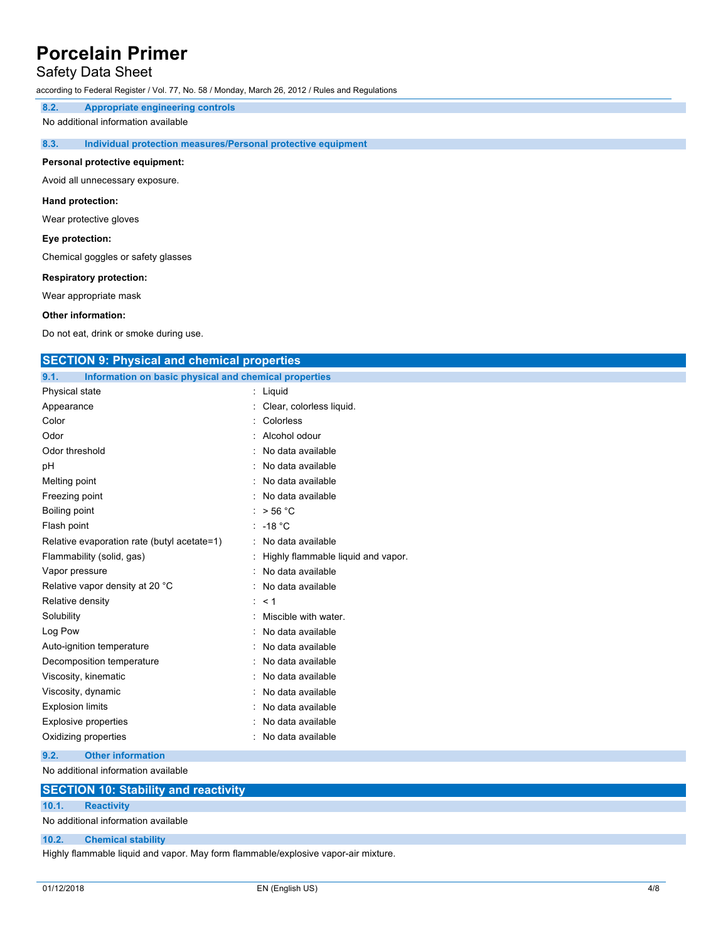## Safety Data Sheet

according to Federal Register / Vol. 77, No. 58 / Monday, March 26, 2012 / Rules and Regulations

**8.2. Appropriate engineering controls**

No additional information available

### **8.3. Individual protection measures/Personal protective equipment**

#### **Personal protective equipment:**

Avoid all unnecessary exposure.

#### **Hand protection:**

Wear protective gloves

#### **Eye protection:**

Chemical goggles or safety glasses

#### **Respiratory protection:**

Wear appropriate mask

### **Other information:**

Do not eat, drink or smoke during use.

### **SECTION 9: Physical and chemical properties**

| Information on basic physical and chemical properties<br>9.1. |                                    |
|---------------------------------------------------------------|------------------------------------|
| Physical state                                                | : Liquid                           |
| Appearance                                                    | Clear, colorless liquid.           |
| Color                                                         | Colorless                          |
| Odor                                                          | Alcohol odour                      |
| Odor threshold                                                | No data available                  |
| рH                                                            | No data available                  |
| Melting point                                                 | No data available                  |
| Freezing point                                                | No data available                  |
| Boiling point                                                 | $>$ 56 °C                          |
| Flash point                                                   | $-18 °C$                           |
| Relative evaporation rate (butyl acetate=1)                   | No data available                  |
| Flammability (solid, gas)                                     | Highly flammable liquid and vapor. |
| Vapor pressure                                                | No data available                  |
| Relative vapor density at 20 °C                               | No data available                  |
| Relative density                                              | < 1                                |
| Solubility                                                    | Miscible with water.               |
| Log Pow                                                       | No data available                  |
| Auto-ignition temperature                                     | No data available                  |
| Decomposition temperature                                     | No data available                  |
| Viscosity, kinematic                                          | No data available                  |
| Viscosity, dynamic                                            | No data available                  |
| <b>Explosion limits</b>                                       | No data available                  |
| Explosive properties                                          | No data available                  |
| Oxidizing properties                                          | No data available                  |

**9.2. Other information**

No additional information available

| <b>SECTION 10: Stability and reactivity</b> |  |  |
|---------------------------------------------|--|--|
|                                             |  |  |

**10.1. Reactivity**

No additional information available

### **10.2. Chemical stability**

Highly flammable liquid and vapor. May form flammable/explosive vapor-air mixture.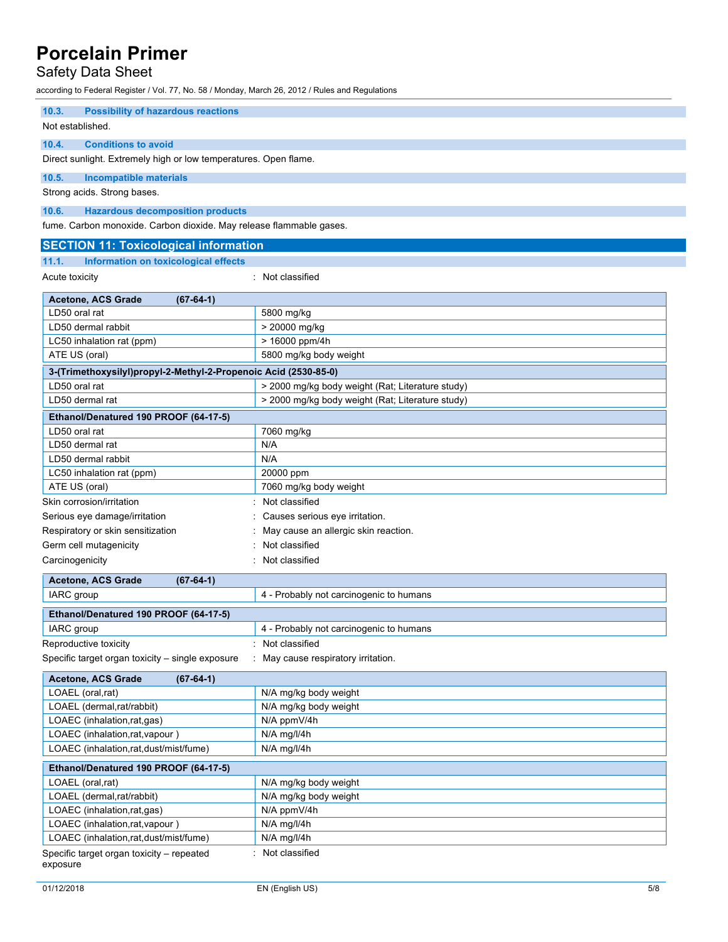## Safety Data Sheet

according to Federal Register / Vol. 77, No. 58 / Monday, March 26, 2012 / Rules and Regulations

| 10.3.<br><b>Possibility of hazardous reactions</b>                                                             |                                                             |  |
|----------------------------------------------------------------------------------------------------------------|-------------------------------------------------------------|--|
| Not established.                                                                                               |                                                             |  |
| 10.4.<br><b>Conditions to avoid</b>                                                                            |                                                             |  |
| Direct sunlight. Extremely high or low temperatures. Open flame.                                               |                                                             |  |
| 10.5.<br><b>Incompatible materials</b>                                                                         |                                                             |  |
| Strong acids. Strong bases.                                                                                    |                                                             |  |
| 10.6.                                                                                                          |                                                             |  |
| <b>Hazardous decomposition products</b><br>fume. Carbon monoxide. Carbon dioxide. May release flammable gases. |                                                             |  |
|                                                                                                                |                                                             |  |
| <b>SECTION 11: Toxicological information</b>                                                                   |                                                             |  |
| Information on toxicological effects<br>11.1.                                                                  |                                                             |  |
| Acute toxicity                                                                                                 | : Not classified                                            |  |
| <b>Acetone, ACS Grade</b><br>$(67-64-1)$                                                                       |                                                             |  |
| LD50 oral rat                                                                                                  | 5800 mg/kg                                                  |  |
| LD50 dermal rabbit                                                                                             | > 20000 mg/kg                                               |  |
| LC50 inhalation rat (ppm)                                                                                      | > 16000 ppm/4h                                              |  |
| ATE US (oral)                                                                                                  | 5800 mg/kg body weight                                      |  |
| 3-(Trimethoxysilyl)propyl-2-Methyl-2-Propenoic Acid (2530-85-0)                                                |                                                             |  |
| LD50 oral rat                                                                                                  | > 2000 mg/kg body weight (Rat; Literature study)            |  |
| LD50 dermal rat                                                                                                | > 2000 mg/kg body weight (Rat; Literature study)            |  |
| Ethanol/Denatured 190 PROOF (64-17-5)                                                                          |                                                             |  |
| LD50 oral rat                                                                                                  | 7060 mg/kg                                                  |  |
| LD50 dermal rat                                                                                                | N/A                                                         |  |
| LD50 dermal rabbit                                                                                             | N/A                                                         |  |
| LC50 inhalation rat (ppm)                                                                                      | 20000 ppm                                                   |  |
| ATE US (oral)                                                                                                  | 7060 mg/kg body weight                                      |  |
| Skin corrosion/irritation                                                                                      | : Not classified                                            |  |
| Serious eye damage/irritation                                                                                  | : Causes serious eye irritation.                            |  |
| Respiratory or skin sensitization                                                                              | May cause an allergic skin reaction.                        |  |
| Germ cell mutagenicity                                                                                         | Not classified                                              |  |
| Carcinogenicity                                                                                                | Not classified                                              |  |
| Acetone, ACS Grade<br>$(67-64-1)$                                                                              |                                                             |  |
| IARC group                                                                                                     | 4 - Probably not carcinogenic to humans                     |  |
| Ethanol/Denatured 190 PROOF (64-17-5)                                                                          |                                                             |  |
|                                                                                                                |                                                             |  |
| IARC group                                                                                                     | 4 - Probably not carcinogenic to humans<br>: Not classified |  |
| Reproductive toxicity<br>Specific target organ toxicity - single exposure                                      | : May cause respiratory irritation.                         |  |
|                                                                                                                |                                                             |  |
| Acetone, ACS Grade<br>$(67-64-1)$                                                                              |                                                             |  |
| LOAEL (oral,rat)                                                                                               | N/A mg/kg body weight                                       |  |
| LOAEL (dermal,rat/rabbit)                                                                                      | N/A mg/kg body weight                                       |  |
| LOAEC (inhalation,rat,gas)                                                                                     | N/A ppmV/4h                                                 |  |
| LOAEC (inhalation,rat,vapour)                                                                                  | N/A mg/l/4h                                                 |  |
| LOAEC (inhalation,rat,dust/mist/fume)                                                                          | N/A mg/l/4h                                                 |  |
| Ethanol/Denatured 190 PROOF (64-17-5)                                                                          |                                                             |  |
| LOAEL (oral,rat)                                                                                               | N/A mg/kg body weight                                       |  |
| LOAEL (dermal,rat/rabbit)                                                                                      | N/A mg/kg body weight                                       |  |
| LOAEC (inhalation,rat,gas)                                                                                     | N/A ppmV/4h                                                 |  |
| LOAEC (inhalation, rat, vapour)                                                                                | $N/A$ mg/l/4h                                               |  |
| LOAEC (inhalation,rat,dust/mist/fume)                                                                          | N/A mg/l/4h                                                 |  |
| Specific target organ toxicity – repeated                                                                      | : Not classified                                            |  |

exposure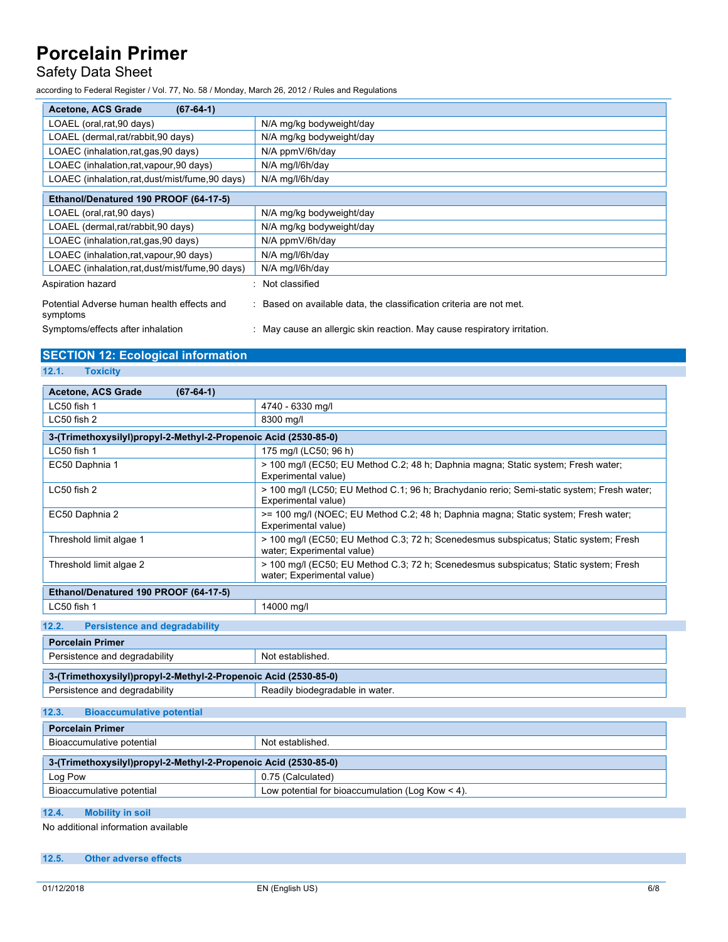## Safety Data Sheet

according to Federal Register / Vol. 77, No. 58 / Monday, March 26, 2012 / Rules and Regulations

| $(67-64-1)$<br><b>Acetone, ACS Grade</b>               |                                                                        |
|--------------------------------------------------------|------------------------------------------------------------------------|
| LOAEL (oral, rat, 90 days)                             | N/A mg/kg bodyweight/day                                               |
| LOAEL (dermal.rat/rabbit.90 days)                      | N/A mg/kg bodyweight/day                                               |
| LOAEC (inhalation, rat, gas, 90 days)                  | N/A ppmV/6h/day                                                        |
| LOAEC (inhalation, rat, vapour, 90 days)               | N/A mg/l/6h/day                                                        |
| LOAEC (inhalation,rat,dust/mist/fume,90 days)          | N/A mg/l/6h/day                                                        |
| Ethanol/Denatured 190 PROOF (64-17-5)                  |                                                                        |
| LOAEL (oral, rat, 90 days)                             | N/A mg/kg bodyweight/day                                               |
| LOAEL (dermal,rat/rabbit,90 days)                      | N/A mg/kg bodyweight/day                                               |
| LOAEC (inhalation,rat,gas,90 days)                     | N/A ppmV/6h/day                                                        |
| LOAEC (inhalation,rat, vapour, 90 days)                | N/A mg/l/6h/day                                                        |
| LOAEC (inhalation.rat.dust/mist/fume.90 days)          | N/A mg/l/6h/day                                                        |
| Aspiration hazard                                      | Not classified                                                         |
| Potential Adverse human health effects and<br>symptoms | Based on available data, the classification criteria are not met.      |
| Symptoms/effects after inhalation                      | May cause an allergic skin reaction. May cause respiratory irritation. |

## **SECTION 12: Ecological information**

**12.1. Toxicity**

| Acetone, ACS Grade<br>$(67-64-1)$                               |                                                                                                                    |
|-----------------------------------------------------------------|--------------------------------------------------------------------------------------------------------------------|
| LC50 fish 1                                                     | 4740 - 6330 mg/l                                                                                                   |
| LC50 fish 2                                                     | 8300 mg/l                                                                                                          |
| 3-(Trimethoxysilyl)propyl-2-Methyl-2-Propenoic Acid (2530-85-0) |                                                                                                                    |
| LC50 fish 1                                                     | 175 mg/l (LC50; 96 h)                                                                                              |
| EC50 Daphnia 1                                                  | > 100 mg/l (EC50; EU Method C.2; 48 h; Daphnia magna; Static system; Fresh water;<br>Experimental value)           |
| LC50 fish 2                                                     | > 100 mg/l (LC50; EU Method C.1; 96 h; Brachydanio rerio; Semi-static system; Fresh water;<br>Experimental value)  |
| EC50 Daphnia 2                                                  | >= 100 mg/l (NOEC; EU Method C.2; 48 h; Daphnia magna; Static system; Fresh water;<br>Experimental value)          |
| Threshold limit algae 1                                         | > 100 mg/l (EC50; EU Method C.3; 72 h; Scenedesmus subspicatus; Static system; Fresh<br>water; Experimental value) |
| Threshold limit algae 2                                         | > 100 mg/l (EC50; EU Method C.3; 72 h; Scenedesmus subspicatus; Static system; Fresh<br>water; Experimental value) |
| Ethanol/Denatured 190 PROOF (64-17-5)                           |                                                                                                                    |
| LC50 fish 1                                                     | 14000 mg/l                                                                                                         |
| <b>Persistence and degradability</b><br>12.2.                   |                                                                                                                    |
| <b>Porcelain Primer</b>                                         |                                                                                                                    |
| Persistence and degradability                                   | Not established.                                                                                                   |
| 3-(Trimethoxysilyl)propyl-2-Methyl-2-Propenoic Acid (2530-85-0) |                                                                                                                    |
| Persistence and degradability                                   | Readily biodegradable in water.                                                                                    |
| 12.3.<br><b>Bioaccumulative potential</b>                       |                                                                                                                    |
| <b>Porcelain Primer</b>                                         |                                                                                                                    |
| Bioaccumulative potential                                       | Not established.                                                                                                   |
| 3-(Trimethoxysilyl)propyl-2-Methyl-2-Propenoic Acid (2530-85-0) |                                                                                                                    |
| Log Pow                                                         | 0.75 (Calculated)                                                                                                  |
| Bioaccumulative potential                                       | Low potential for bioaccumulation (Log Kow $\leq$ 4).                                                              |
| 12.4.<br><b>Mobility in soil</b>                                |                                                                                                                    |

No additional information available

### **12.5. Other adverse effects**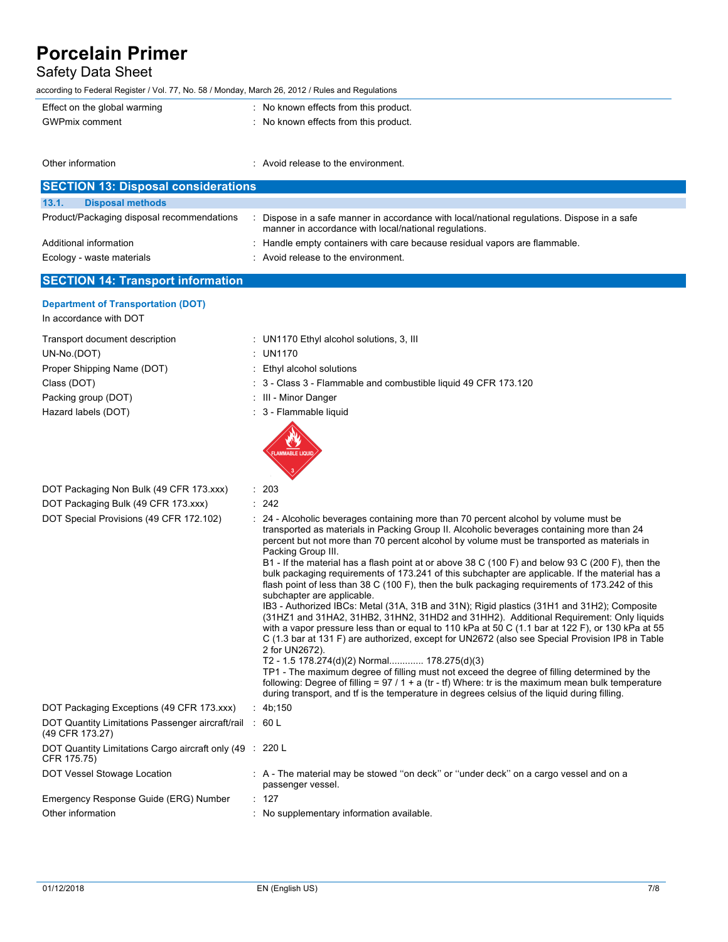## Safety Data Sheet

according to Federal Register / Vol. 77, No. 58 / Monday, March 26, 2012 / Rules and Regulations

Other information **interest in the environment** of the environment.

| Effect on the global warming | : No known effects from this product. |
|------------------------------|---------------------------------------|
| GWPmix comment               | : No known effects from this product. |
|                              |                                       |

| <b>SECTION 13: Disposal considerations</b> |                                                                                                                                                    |  |  |  |
|--------------------------------------------|----------------------------------------------------------------------------------------------------------------------------------------------------|--|--|--|
| 13.1.<br><b>Disposal methods</b>           |                                                                                                                                                    |  |  |  |
| Product/Packaging disposal recommendations | Dispose in a safe manner in accordance with local/national regulations. Dispose in a safe<br>manner in accordance with local/national regulations. |  |  |  |
| Additional information                     | : Handle empty containers with care because residual vapors are flammable.                                                                         |  |  |  |
| Ecology - waste materials                  | : Avoid release to the environment.                                                                                                                |  |  |  |

## **SECTION 14: Transport information**

**Department of Transportation (DOT)**

In accordance with DOT

### Transport document description : UN1170 Ethyl alcohol solutions, 3, III UN-No.(DOT) : UN1170 Proper Shipping Name (DOT) : Ethyl alcohol solutions Class (DOT) : 3 - Class 3 - Flammable and combustible liquid 49 CFR 173.120 Packing group (DOT) : III - Minor Danger Hazard labels (DOT) **in the set of the set of the set of the set of the set of the set of the set of the set of the set of the set of the set of the set of the set of the set of the set of the set of the set of the set of** DOT Packaging Non Bulk (49 CFR 173.xxx) : 203 DOT Packaging Bulk (49 CFR 173.xxx) : 242 DOT Special Provisions (49 CFR 172.102) : 24 - Alcoholic beverages containing more than 70 percent alcohol by volume must be transported as materials in Packing Group II. Alcoholic beverages containing more than 24 percent but not more than 70 percent alcohol by volume must be transported as materials in Packing Group III. B1 - If the material has a flash point at or above 38 C (100 F) and below 93 C (200 F), then the bulk packaging requirements of 173.241 of this subchapter are applicable. If the material has a flash point of less than 38 C (100 F), then the bulk packaging requirements of 173.242 of this subchapter are applicable. IB3 - Authorized IBCs: Metal (31A, 31B and 31N); Rigid plastics (31H1 and 31H2); Composite (31HZ1 and 31HA2, 31HB2, 31HN2, 31HD2 and 31HH2). Additional Requirement: Only liquids with a vapor pressure less than or equal to 110 kPa at 50 C (1.1 bar at 122 F), or 130 kPa at 55 C (1.3 bar at 131 F) are authorized, except for UN2672 (also see Special Provision IP8 in Table 2 for UN2672). T2 - 1.5 178.274(d)(2) Normal............. 178.275(d)(3) TP1 - The maximum degree of filling must not exceed the degree of filling determined by the following: Degree of filling =  $97 / 1 + a$  (tr - tf) Where: tr is the maximum mean bulk temperature during transport, and tf is the temperature in degrees celsius of the liquid during filling. DOT Packaging Exceptions (49 CFR 173.xxx) : 4b;150 DOT Quantity Limitations Passenger aircraft/rail : 60 L (49 CFR 173.27) DOT Quantity Limitations Cargo aircraft only (49 : 220 L CFR 175.75) DOT Vessel Stowage Location : A - The material may be stowed "on deck" or "under deck" on a cargo vessel and on a passenger vessel. Emergency Response Guide (ERG) Number : 127 Other information **Other information** : No supplementary information available.